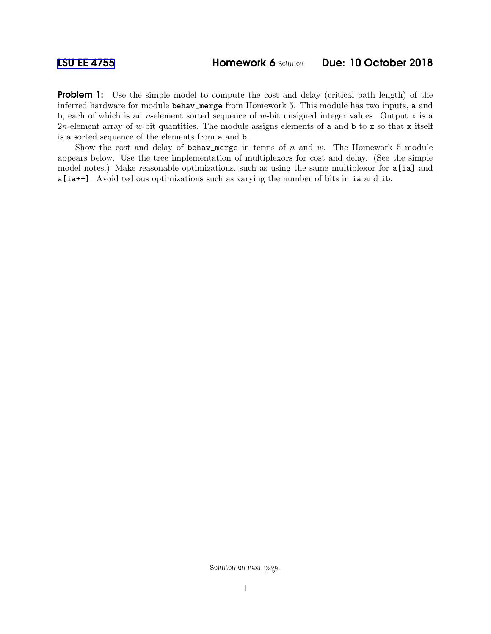**Problem 1:** Use the simple model to compute the cost and delay (critical path length) of the inferred hardware for module behav\_merge from Homework 5. This module has two inputs, a and b, each of which is an *n*-element sorted sequence of w-bit unsigned integer values. Output x is a 2n-element array of w-bit quantities. The module assigns elements of a and b to x so that x itself is a sorted sequence of the elements from a and b.

Show the cost and delay of behav\_merge in terms of  $n$  and  $w$ . The Homework 5 module appears below. Use the tree implementation of multiplexors for cost and delay. (See the simple model notes.) Make reasonable optimizations, such as using the same multiplexor for a[ia] and a[ia++]. Avoid tedious optimizations such as varying the number of bits in ia and ib.

Solution on next page.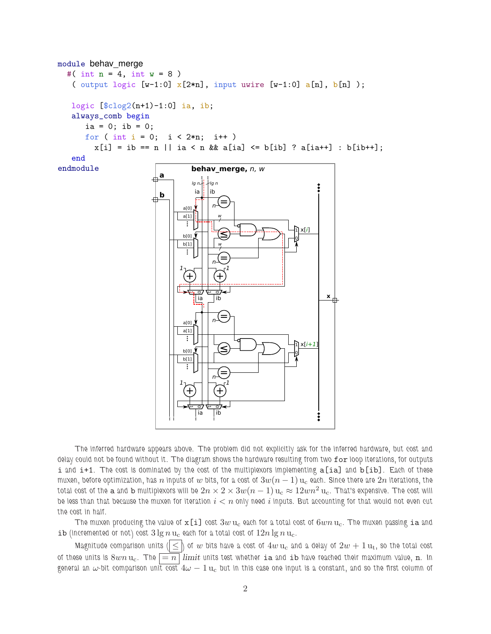

The inferred hardware appears above. The problem did not explicitly ask for the inferred hardware, but cost and delay could not be found without it. The diagram shows the hardware resulting from two for loop iterations, for outputs i and i+1. The cost is dominated by the cost of the multiplexors implementing a [ia] and b [ib]. Each of these muxen, before optimization, has n inputs of w bits, for a cost of  $3w(n-1)$  u<sub>c</sub> each. Since there are  $2n$  iterations, the total cost of the a and b multiplexors will be  $2n \times 2 \times 3w(n-1)$  u<sub>c</sub>  $\approx 12wn^2$  u<sub>c</sub>. That's expensive. The cost will be less than that because the muxen for iteration  $i < n$  only need i inputs. But accounting for that would not even cut the cost in half.

The muxen producing the value of  $x[i]$  cost  $3w u_c$  each for a total cost of  $6wn u_c$ . The muxen passing ia and ib (incremented or not) cost  $3 \lg n u_c$  each for a total cost of  $12n \lg n u_c$ .

Magnitude comparison units ( $\leq$  ) of w bits have a cost of  $4w$  u<sub>c</sub> and a delay of  $2w + 1$  u<sub>t</sub>, so the total cost of these units is  $8wn$  u<sub>c</sub>. The  $\boxed{=n}$  limit units test whether ia and ib have reached their maximum value, n. In general an  $\omega$ -bit comparison unit cost  $4\omega - 1 u_c$  but in this case one input is a constant, and so the first column of